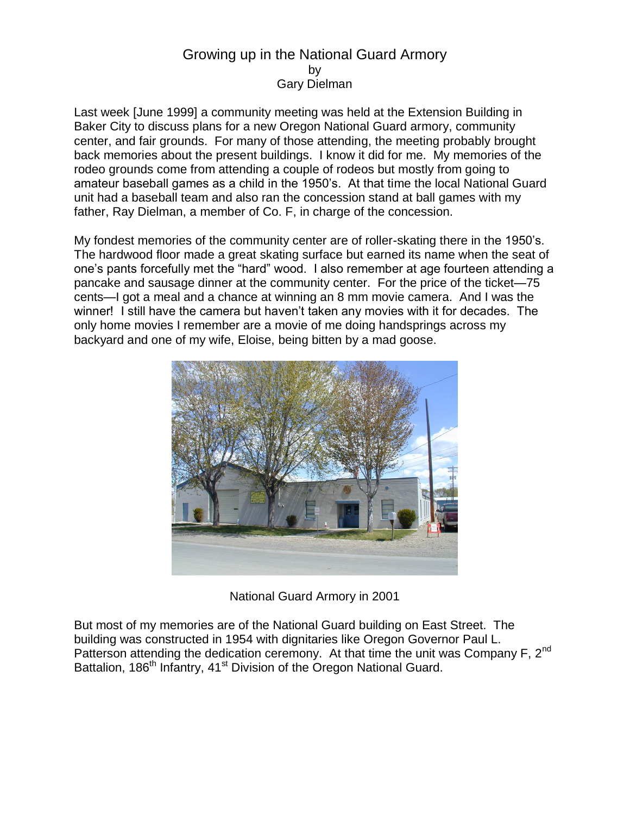## Growing up in the National Guard Armory by Gary Dielman

Last week [June 1999] a community meeting was held at the Extension Building in Baker City to discuss plans for a new Oregon National Guard armory, community center, and fair grounds. For many of those attending, the meeting probably brought back memories about the present buildings. I know it did for me. My memories of the rodeo grounds come from attending a couple of rodeos but mostly from going to amateur baseball games as a child in the 1950's. At that time the local National Guard unit had a baseball team and also ran the concession stand at ball games with my father, Ray Dielman, a member of Co. F, in charge of the concession.

My fondest memories of the community center are of roller-skating there in the 1950's. The hardwood floor made a great skating surface but earned its name when the seat of one's pants forcefully met the "hard" wood. I also remember at age fourteen attending a pancake and sausage dinner at the community center. For the price of the ticket—75 cents—I got a meal and a chance at winning an 8 mm movie camera. And I was the winner! I still have the camera but haven't taken any movies with it for decades. The only home movies I remember are a movie of me doing handsprings across my backyard and one of my wife, Eloise, being bitten by a mad goose.



National Guard Armory in 2001

But most of my memories are of the National Guard building on East Street. The building was constructed in 1954 with dignitaries like Oregon Governor Paul L. Patterson attending the dedication ceremony. At that time the unit was Company F, 2<sup>nd</sup> Battalion, 186<sup>th</sup> Infantry, 41<sup>st</sup> Division of the Oregon National Guard.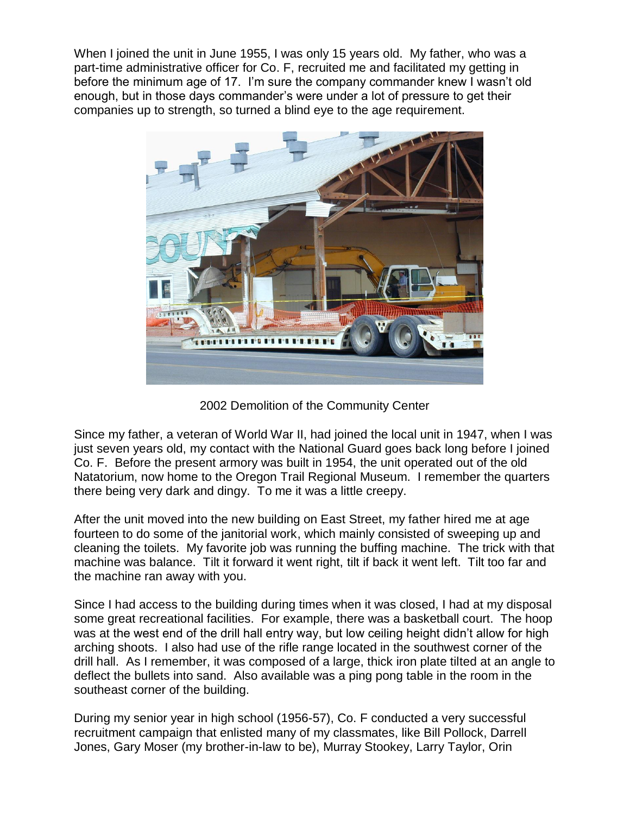When I joined the unit in June 1955, I was only 15 years old. My father, who was a part-time administrative officer for Co. F, recruited me and facilitated my getting in before the minimum age of 17. I'm sure the company commander knew I wasn't old enough, but in those days commander's were under a lot of pressure to get their companies up to strength, so turned a blind eye to the age requirement.



2002 Demolition of the Community Center

Since my father, a veteran of World War II, had joined the local unit in 1947, when I was just seven years old, my contact with the National Guard goes back long before I joined Co. F. Before the present armory was built in 1954, the unit operated out of the old Natatorium, now home to the Oregon Trail Regional Museum. I remember the quarters there being very dark and dingy. To me it was a little creepy.

After the unit moved into the new building on East Street, my father hired me at age fourteen to do some of the janitorial work, which mainly consisted of sweeping up and cleaning the toilets. My favorite job was running the buffing machine. The trick with that machine was balance. Tilt it forward it went right, tilt if back it went left. Tilt too far and the machine ran away with you.

Since I had access to the building during times when it was closed, I had at my disposal some great recreational facilities. For example, there was a basketball court. The hoop was at the west end of the drill hall entry way, but low ceiling height didn't allow for high arching shoots. I also had use of the rifle range located in the southwest corner of the drill hall. As I remember, it was composed of a large, thick iron plate tilted at an angle to deflect the bullets into sand. Also available was a ping pong table in the room in the southeast corner of the building.

During my senior year in high school (1956-57), Co. F conducted a very successful recruitment campaign that enlisted many of my classmates, like Bill Pollock, Darrell Jones, Gary Moser (my brother-in-law to be), Murray Stookey, Larry Taylor, Orin